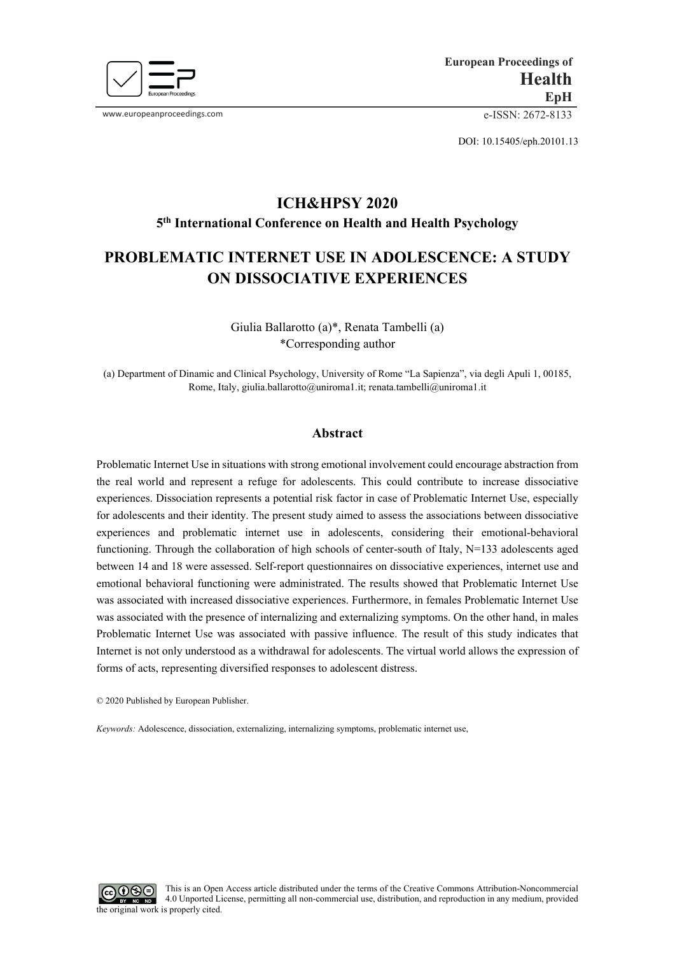

www.europeanproceedings.com e-ISSN: 2672-8133

DOI: 10.15405/eph.20101.13

# **ICH&HPSY 2020 5th International Conference on Health and Health Psychology**

# **PROBLEMATIC INTERNET USE IN ADOLESCENCE: A STUDY ON DISSOCIATIVE EXPERIENCES**

Giulia Ballarotto (a)\*, Renata Tambelli (a) \*Corresponding author

(a) Department of Dinamic and Clinical Psychology, University of Rome "La Sapienza", via degli Apuli 1, 00185, Rome, Italy[, giulia.ballarotto@uniroma1.it;](mailto:giulia.ballarotto@uniroma1.it) renata.tambelli@uniroma1.it

# **Abstract**

Problematic Internet Use in situations with strong emotional involvement could encourage abstraction from the real world and represent a refuge for adolescents. This could contribute to increase dissociative experiences. Dissociation represents a potential risk factor in case of Problematic Internet Use, especially for adolescents and their identity. The present study aimed to assess the associations between dissociative experiences and problematic internet use in adolescents, considering their emotional-behavioral functioning. Through the collaboration of high schools of center-south of Italy, N=133 adolescents aged between 14 and 18 were assessed. Self-report questionnaires on dissociative experiences, internet use and emotional behavioral functioning were administrated. The results showed that Problematic Internet Use was associated with increased dissociative experiences. Furthermore, in females Problematic Internet Use was associated with the presence of internalizing and externalizing symptoms. On the other hand, in males Problematic Internet Use was associated with passive influence. The result of this study indicates that Internet is not only understood as a withdrawal for adolescents. The virtual world allows the expression of forms of acts, representing diversified responses to adolescent distress.

© 2020 Published by European Publisher.

*Keywords:* Adolescence, dissociation, externalizing, internalizing symptoms, problematic internet use,

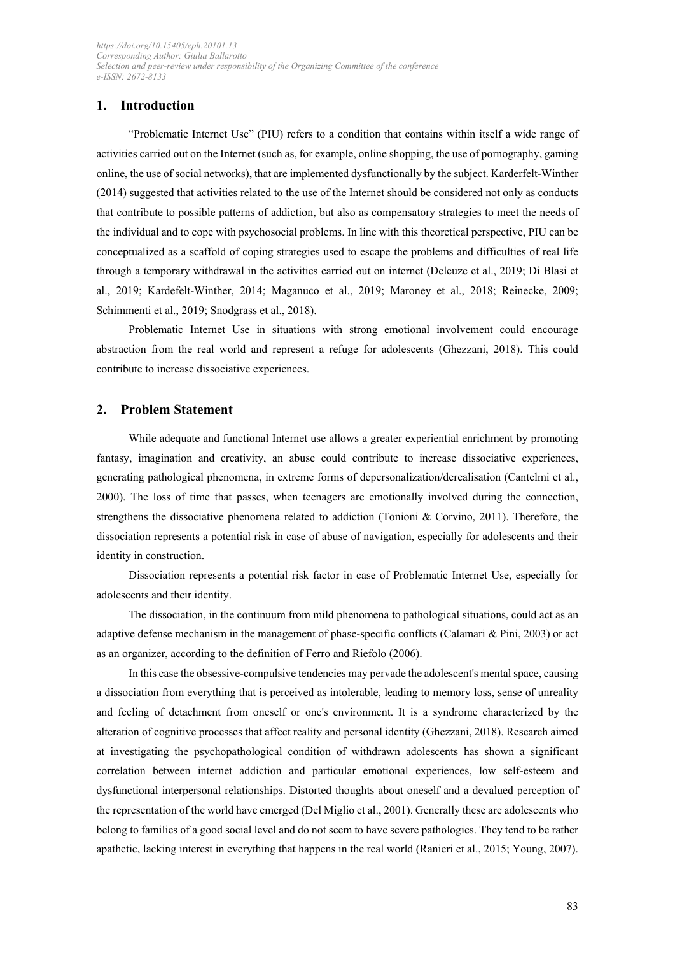# **1. Introduction**

"Problematic Internet Use" (PIU) refers to a condition that contains within itself a wide range of activities carried out on the Internet (such as, for example, online shopping, the use of pornography, gaming online, the use of social networks), that are implemented dysfunctionally by the subject. Karderfelt-Winther (2014) suggested that activities related to the use of the Internet should be considered not only as conducts that contribute to possible patterns of addiction, but also as compensatory strategies to meet the needs of the individual and to cope with psychosocial problems. In line with this theoretical perspective, PIU can be conceptualized as a scaffold of coping strategies used to escape the problems and difficulties of real life through a temporary withdrawal in the activities carried out on internet (Deleuze et al., 2019; Di Blasi et al., 2019; Kardefelt-Winther, 2014; Maganuco et al., 2019; Maroney et al., 2018; Reinecke, 2009; Schimmenti et al., 2019; Snodgrass et al., 2018).

Problematic Internet Use in situations with strong emotional involvement could encourage abstraction from the real world and represent a refuge for adolescents (Ghezzani, 2018). This could contribute to increase dissociative experiences.

## **2. Problem Statement**

While adequate and functional Internet use allows a greater experiential enrichment by promoting fantasy, imagination and creativity, an abuse could contribute to increase dissociative experiences, generating pathological phenomena, in extreme forms of depersonalization/derealisation (Cantelmi et al., 2000). The loss of time that passes, when teenagers are emotionally involved during the connection, strengthens the dissociative phenomena related to addiction (Tonioni & Corvino, 2011). Therefore, the dissociation represents a potential risk in case of abuse of navigation, especially for adolescents and their identity in construction.

Dissociation represents a potential risk factor in case of Problematic Internet Use, especially for adolescents and their identity.

The dissociation, in the continuum from mild phenomena to pathological situations, could act as an adaptive defense mechanism in the management of phase-specific conflicts (Calamari & Pini, 2003) or act as an organizer, according to the definition of Ferro and Riefolo (2006).

In this case the obsessive-compulsive tendencies may pervade the adolescent's mental space, causing a dissociation from everything that is perceived as intolerable, leading to memory loss, sense of unreality and feeling of detachment from oneself or one's environment. It is a syndrome characterized by the alteration of cognitive processes that affect reality and personal identity (Ghezzani, 2018). Research aimed at investigating the psychopathological condition of withdrawn adolescents has shown a significant correlation between internet addiction and particular emotional experiences, low self-esteem and dysfunctional interpersonal relationships. Distorted thoughts about oneself and a devalued perception of the representation of the world have emerged (Del Miglio et al., 2001). Generally these are adolescents who belong to families of a good social level and do not seem to have severe pathologies. They tend to be rather apathetic, lacking interest in everything that happens in the real world (Ranieri et al., 2015; Young, 2007).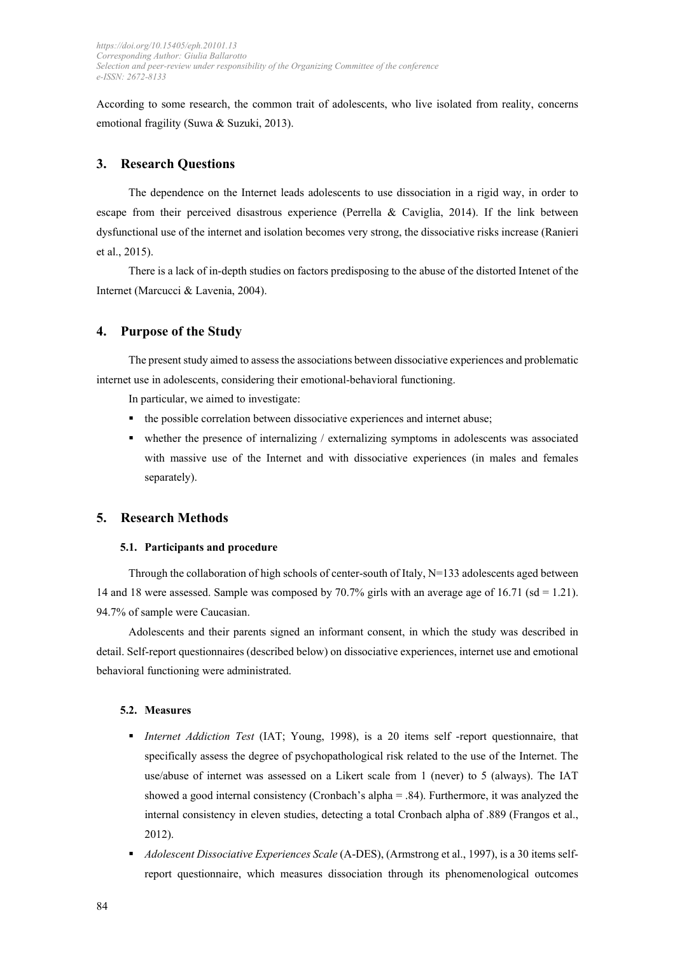According to some research, the common trait of adolescents, who live isolated from reality, concerns emotional fragility (Suwa & Suzuki, 2013).

## **3. Research Questions**

The dependence on the Internet leads adolescents to use dissociation in a rigid way, in order to escape from their perceived disastrous experience (Perrella & Caviglia, 2014). If the link between dysfunctional use of the internet and isolation becomes very strong, the dissociative risks increase (Ranieri et al., 2015).

There is a lack of in-depth studies on factors predisposing to the abuse of the distorted Intenet of the Internet (Marcucci & Lavenia, 2004).

## **4. Purpose of the Study**

The present study aimed to assess the associations between dissociative experiences and problematic internet use in adolescents, considering their emotional-behavioral functioning.

In particular, we aimed to investigate:

- the possible correlation between dissociative experiences and internet abuse;
- whether the presence of internalizing / externalizing symptoms in adolescents was associated with massive use of the Internet and with dissociative experiences (in males and females separately).

# **5. Research Methods**

#### **5.1. Participants and procedure**

Through the collaboration of high schools of center-south of Italy,  $N=133$  adolescents aged between 14 and 18 were assessed. Sample was composed by 70.7% girls with an average age of 16.71 (sd = 1.21). 94.7% of sample were Caucasian.

Adolescents and their parents signed an informant consent, in which the study was described in detail. Self-report questionnaires (described below) on dissociative experiences, internet use and emotional behavioral functioning were administrated.

#### **5.2. Measures**

- *Internet Addiction Test* (IAT; Young, 1998), is a 20 items self -report questionnaire, that specifically assess the degree of psychopathological risk related to the use of the Internet. The use/abuse of internet was assessed on a Likert scale from 1 (never) to 5 (always). The IAT showed a good internal consistency (Cronbach's alpha = .84). Furthermore, it was analyzed the internal consistency in eleven studies, detecting a total Cronbach alpha of .889 (Frangos et al., 2012).
- *Adolescent Dissociative Experiences Scale* (A-DES), (Armstrong et al., 1997), is a 30 items selfreport questionnaire, which measures dissociation through its phenomenological outcomes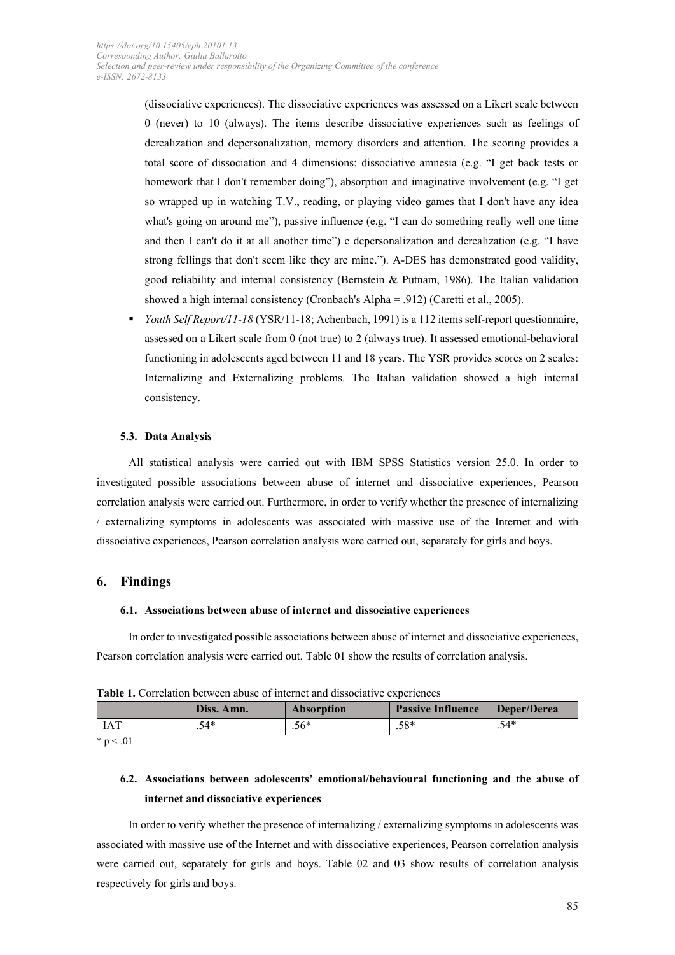(dissociative experiences). The dissociative experiences was assessed on a Likert scale between 0 (never) to 10 (always). The items describe dissociative experiences such as feelings of derealization and depersonalization, memory disorders and attention. The scoring provides a total score of dissociation and 4 dimensions: dissociative amnesia (e.g. "I get back tests or homework that I don't remember doing"), absorption and imaginative involvement (e.g. "I get so wrapped up in watching T.V., reading, or playing video games that I don't have any idea what's going on around me"), passive influence (e.g. "I can do something really well one time and then I can't do it at all another time") e depersonalization and derealization (e.g. "I have strong fellings that don't seem like they are mine."). A-DES has demonstrated good validity, good reliability and internal consistency (Bernstein & Putnam, 1986). The Italian validation showed a high internal consistency (Cronbach's Alpha = .912) (Caretti et al., 2005).

 *Youth Self Report/11-18* (YSR/11-18; Achenbach, 1991) is a 112 items self-report questionnaire, assessed on a Likert scale from 0 (not true) to 2 (always true). It assessed emotional-behavioral functioning in adolescents aged between 11 and 18 years. The YSR provides scores on 2 scales: Internalizing and Externalizing problems. The Italian validation showed a high internal consistency.

## **5.3. Data Analysis**

All statistical analysis were carried out with IBM SPSS Statistics version 25.0. In order to investigated possible associations between abuse of internet and dissociative experiences, Pearson correlation analysis were carried out. Furthermore, in order to verify whether the presence of internalizing / externalizing symptoms in adolescents was associated with massive use of the Internet and with dissociative experiences, Pearson correlation analysis were carried out, separately for girls and boys.

## **6. Findings**

### **6.1. Associations between abuse of internet and dissociative experiences**

In order to investigated possible associations between abuse of internet and dissociative experiences, Pearson correlation analysis were carried out. Table 01 show the results of correlation analysis.

| <b>Table 1.</b> Correlation between abuse of internet and dissociative experiences |            |            |                          |             |  |  |
|------------------------------------------------------------------------------------|------------|------------|--------------------------|-------------|--|--|
|                                                                                    | Diss. Amn. | Absorption | <b>Passive Influence</b> | Deper/Derea |  |  |

**Table 1.** Correlation between abuse of internet and dissociative experiences

| IAT<br>.       | $54*$<br>$\cdot$ | 56*<br>$\cdot$ v | $.58*$ | *۸.<br>$\cdot$ $\sim$ $-$ |
|----------------|------------------|------------------|--------|---------------------------|
| $*_{p}$<br>.01 |                  |                  |        |                           |

# **6.2. Associations between adolescents' emotional/behavioural functioning and the abuse of internet and dissociative experiences**

In order to verify whether the presence of internalizing / externalizing symptoms in adolescents was associated with massive use of the Internet and with dissociative experiences, Pearson correlation analysis were carried out, separately for girls and boys. Table 02 and 03 show results of correlation analysis respectively for girls and boys.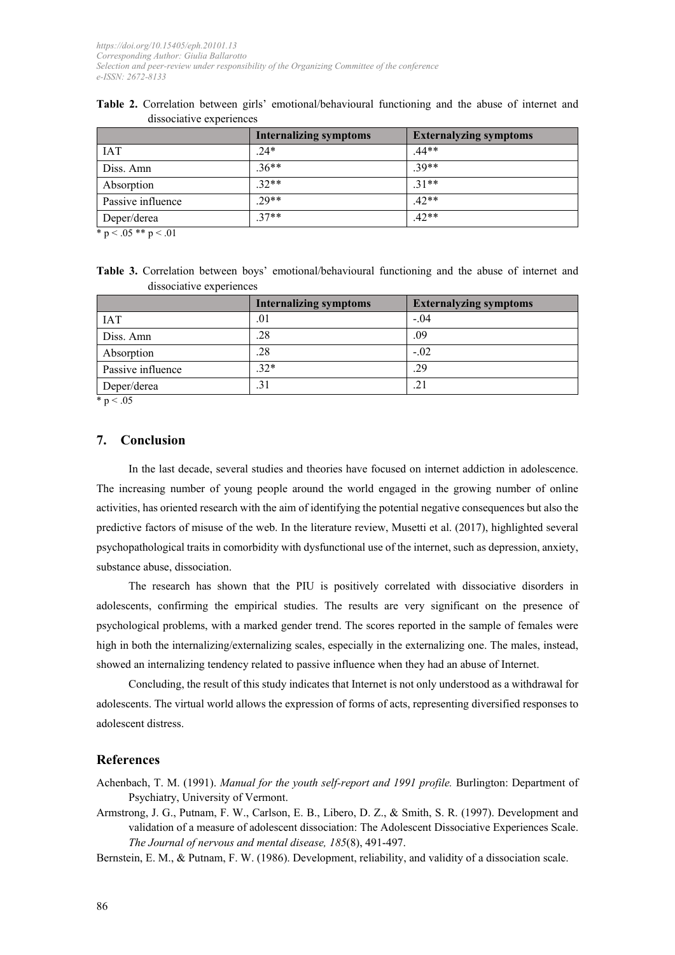|                   | <b>Internalizing symptoms</b> | <b>Externalyzing symptoms</b> |
|-------------------|-------------------------------|-------------------------------|
| <b>IAT</b>        | $.24*$                        | $.44**$                       |
| Diss. Amn         | $.36**$                       | $.39**$                       |
| Absorption        | $.32**$                       | $.31**$                       |
| Passive influence | $.29**$                       | $.42**$                       |
| Deper/derea       | $.37**$                       | $.42**$                       |

**Table 2.** Correlation between girls' emotional/behavioural functioning and the abuse of internet and dissociative experiences

 $\overline{p}$  to  $\leq 0.05$  \*\* p $\leq 0.01$ 

**Table 3.** Correlation between boys' emotional/behavioural functioning and the abuse of internet and dissociative experiences

|                                          | <b>Internalizing symptoms</b> | <b>Externalyzing symptoms</b> |
|------------------------------------------|-------------------------------|-------------------------------|
| <b>IAT</b>                               | .01                           | $-.04$                        |
| Diss. Amn                                | .28                           | .09                           |
| Absorption                               | .28                           | $-.02$                        |
| Passive influence                        | $.32*$                        | .29                           |
| Deper/derea<br>$\mathbf{a}$ $\mathbf{a}$ | .31                           | .21                           |

 $*$  p < .05

# **7. Conclusion**

In the last decade, several studies and theories have focused on internet addiction in adolescence. The increasing number of young people around the world engaged in the growing number of online activities, has oriented research with the aim of identifying the potential negative consequences but also the predictive factors of misuse of the web. In the literature review, Musetti et al. (2017), highlighted several psychopathological traits in comorbidity with dysfunctional use of the internet, such as depression, anxiety, substance abuse, dissociation.

The research has shown that the PIU is positively correlated with dissociative disorders in adolescents, confirming the empirical studies. The results are very significant on the presence of psychological problems, with a marked gender trend. The scores reported in the sample of females were high in both the internalizing/externalizing scales, especially in the externalizing one. The males, instead, showed an internalizing tendency related to passive influence when they had an abuse of Internet.

Concluding, the result of this study indicates that Internet is not only understood as a withdrawal for adolescents. The virtual world allows the expression of forms of acts, representing diversified responses to adolescent distress.

## **References**

Achenbach, T. M. (1991). *Manual for the youth self-report and 1991 profile.* Burlington: Department of Psychiatry, University of Vermont.

Armstrong, J. G., Putnam, F. W., Carlson, E. B., Libero, D. Z., & Smith, S. R. (1997). Development and validation of a measure of adolescent dissociation: The Adolescent Dissociative Experiences Scale. *The Journal of nervous and mental disease, 185*(8), 491-497.

Bernstein, E. M., & Putnam, F. W. (1986). Development, reliability, and validity of a dissociation scale.